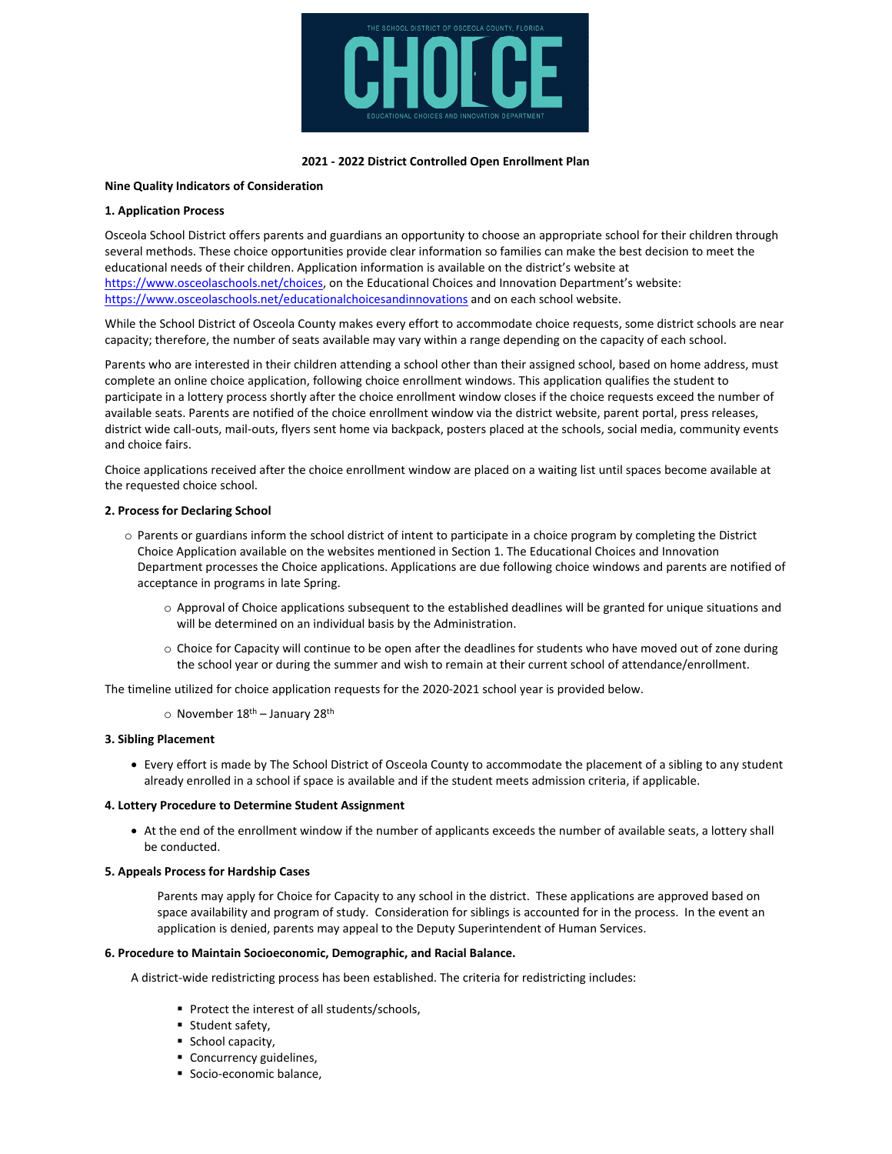

## **2021 ‐ 2022 District Controlled Open Enrollment Plan**

# **Nine Quality Indicators of Consideration**

## **1. Application Process**

Osceola School District offers parents and guardians an opportunity to choose an appropriate school for their children through several methods. These choice opportunities provide clear information so families can make the best decision to meet the educational needs of their children. Application information is available on the district's website at https://www.osceolaschools.net/choices, on the Educational Choices and Innovation Department's website: https://www.osceolaschools.net/educationalchoicesandinnovations and on each school website.

While the School District of Osceola County makes every effort to accommodate choice requests, some district schools are near capacity; therefore, the number of seats available may vary within a range depending on the capacity of each school.

Parents who are interested in their children attending a school other than their assigned school, based on home address, must complete an online choice application, following choice enrollment windows. This application qualifies the student to participate in a lottery process shortly after the choice enrollment window closes if the choice requests exceed the number of available seats. Parents are notified of the choice enrollment window via the district website, parent portal, press releases, district wide call-outs, mail-outs, flyers sent home via backpack, posters placed at the schools, social media, community events and choice fairs.

Choice applications received after the choice enrollment window are placed on a waiting list until spaces become available at the requested choice school.

### **2. Process for Declaring School**

- o Parents or guardians inform the school district of intent to participate in a choice program by completing the District Choice Application available on the websites mentioned in Section 1. The Educational Choices and Innovation Department processes the Choice applications. Applications are due following choice windows and parents are notified of acceptance in programs in late Spring.
	- o Approval of Choice applications subsequent to the established deadlines will be granted for unique situations and will be determined on an individual basis by the Administration.
	- o Choice for Capacity will continue to be open after the deadlines for students who have moved out of zone during the school year or during the summer and wish to remain at their current school of attendance/enrollment.

The timeline utilized for choice application requests for the 2020-2021 school year is provided below.

 $\circ$  November 18<sup>th</sup> – January 28<sup>th</sup>

## **3. Sibling Placement**

 Every effort is made by The School District of Osceola County to accommodate the placement of a sibling to any student already enrolled in a school if space is available and if the student meets admission criteria, if applicable.

#### **4. Lottery Procedure to Determine Student Assignment**

 At the end of the enrollment window if the number of applicants exceeds the number of available seats, a lottery shall be conducted.

#### **5. Appeals Process for Hardship Cases**

Parents may apply for Choice for Capacity to any school in the district. These applications are approved based on space availability and program of study. Consideration for siblings is accounted for in the process. In the event an application is denied, parents may appeal to the Deputy Superintendent of Human Services.

#### **6. Procedure to Maintain Socioeconomic, Demographic, and Racial Balance.**

A district‐wide redistricting process has been established. The criteria for redistricting includes:

- **Protect the interest of all students/schools,**
- **Student safety,**
- School capacity,
- Concurrency guidelines,
- Socio-economic balance,